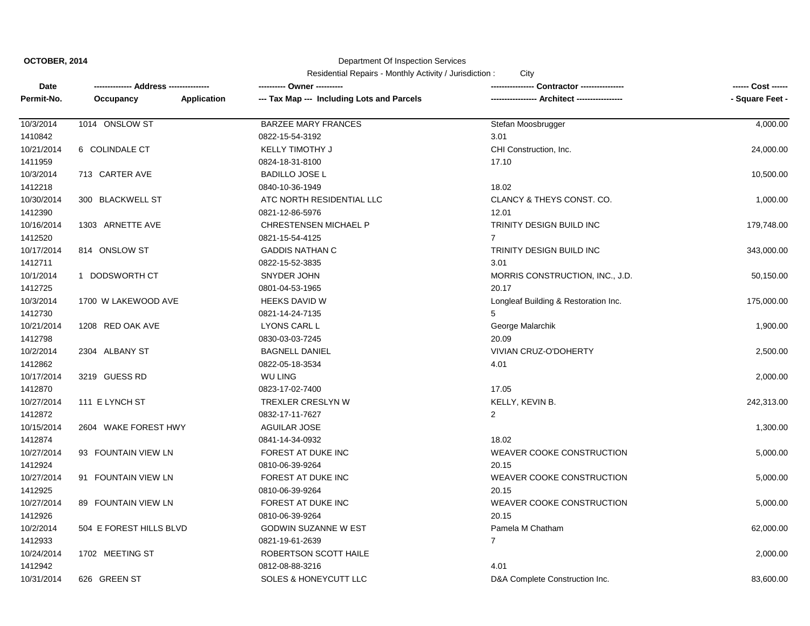#### Department Of Inspection Services

| Date       |                         |                    | ---------- Owner ----------                |                                      | ------ Cost ------ |
|------------|-------------------------|--------------------|--------------------------------------------|--------------------------------------|--------------------|
| Permit-No. | Occupancy               | <b>Application</b> | --- Tax Map --- Including Lots and Parcels |                                      | - Square Feet -    |
| 10/3/2014  | 1014 ONSLOW ST          |                    | <b>BARZEE MARY FRANCES</b>                 | Stefan Moosbrugger                   | 4,000.00           |
| 1410842    |                         |                    | 0822-15-54-3192                            | 3.01                                 |                    |
| 10/21/2014 | 6 COLINDALE CT          |                    | <b>KELLY TIMOTHY J</b>                     | CHI Construction, Inc.               | 24,000.00          |
| 1411959    |                         |                    | 0824-18-31-8100                            | 17.10                                |                    |
| 10/3/2014  | 713 CARTER AVE          |                    | <b>BADILLO JOSE L</b>                      |                                      | 10,500.00          |
| 1412218    |                         |                    | 0840-10-36-1949                            | 18.02                                |                    |
| 10/30/2014 | 300 BLACKWELL ST        |                    | ATC NORTH RESIDENTIAL LLC                  | CLANCY & THEYS CONST. CO.            | 1,000.00           |
| 1412390    |                         |                    | 0821-12-86-5976                            | 12.01                                |                    |
| 10/16/2014 | 1303 ARNETTE AVE        |                    | <b>CHRESTENSEN MICHAEL P</b>               | TRINITY DESIGN BUILD INC             | 179,748.00         |
| 1412520    |                         |                    | 0821-15-54-4125                            | $\overline{7}$                       |                    |
| 10/17/2014 | 814 ONSLOW ST           |                    | <b>GADDIS NATHAN C</b>                     | TRINITY DESIGN BUILD INC             | 343,000.00         |
| 1412711    |                         |                    | 0822-15-52-3835                            | 3.01                                 |                    |
| 10/1/2014  | 1 DODSWORTH CT          |                    | SNYDER JOHN                                | MORRIS CONSTRUCTION, INC., J.D.      | 50,150.00          |
| 1412725    |                         |                    | 0801-04-53-1965                            | 20.17                                |                    |
| 10/3/2014  | 1700 W LAKEWOOD AVE     |                    | <b>HEEKS DAVID W</b>                       | Longleaf Building & Restoration Inc. | 175,000.00         |
| 1412730    |                         |                    | 0821-14-24-7135                            | 5                                    |                    |
| 10/21/2014 | 1208 RED OAK AVE        |                    | LYONS CARL L                               | George Malarchik                     | 1,900.00           |
| 1412798    |                         |                    | 0830-03-03-7245                            | 20.09                                |                    |
| 10/2/2014  | 2304 ALBANY ST          |                    | <b>BAGNELL DANIEL</b>                      | VIVIAN CRUZ-O'DOHERTY                | 2,500.00           |
| 1412862    |                         |                    | 0822-05-18-3534                            | 4.01                                 |                    |
| 10/17/2014 | 3219 GUESS RD           |                    | WU LING                                    |                                      | 2,000.00           |
| 1412870    |                         |                    | 0823-17-02-7400                            | 17.05                                |                    |
| 10/27/2014 | 111 E LYNCH ST          |                    | TREXLER CRESLYN W                          | KELLY, KEVIN B.                      | 242,313.00         |
| 1412872    |                         |                    | 0832-17-11-7627                            | $\overline{2}$                       |                    |
| 10/15/2014 | 2604 WAKE FOREST HWY    |                    | <b>AGUILAR JOSE</b>                        |                                      | 1,300.00           |
| 1412874    |                         |                    | 0841-14-34-0932                            | 18.02                                |                    |
| 10/27/2014 | 93 FOUNTAIN VIEW LN     |                    | FOREST AT DUKE INC                         | WEAVER COOKE CONSTRUCTION            | 5,000.00           |
| 1412924    |                         |                    | 0810-06-39-9264                            | 20.15                                |                    |
| 10/27/2014 | 91 FOUNTAIN VIEW LN     |                    | FOREST AT DUKE INC                         | WEAVER COOKE CONSTRUCTION            | 5,000.00           |
| 1412925    |                         |                    | 0810-06-39-9264                            | 20.15                                |                    |
| 10/27/2014 | 89 FOUNTAIN VIEW LN     |                    | FOREST AT DUKE INC                         | WEAVER COOKE CONSTRUCTION            | 5,000.00           |
| 1412926    |                         |                    | 0810-06-39-9264                            | 20.15                                |                    |
| 10/2/2014  | 504 E FOREST HILLS BLVD |                    | GODWIN SUZANNE W EST                       | Pamela M Chatham                     | 62,000.00          |
| 1412933    |                         |                    | 0821-19-61-2639                            | $\overline{7}$                       |                    |
| 10/24/2014 | 1702 MEETING ST         |                    | ROBERTSON SCOTT HAILE                      |                                      | 2,000.00           |
| 1412942    |                         |                    | 0812-08-88-3216                            | 4.01                                 |                    |
| 10/31/2014 | 626 GREEN ST            |                    | SOLES & HONEYCUTT LLC                      | D&A Complete Construction Inc.       | 83,600.00          |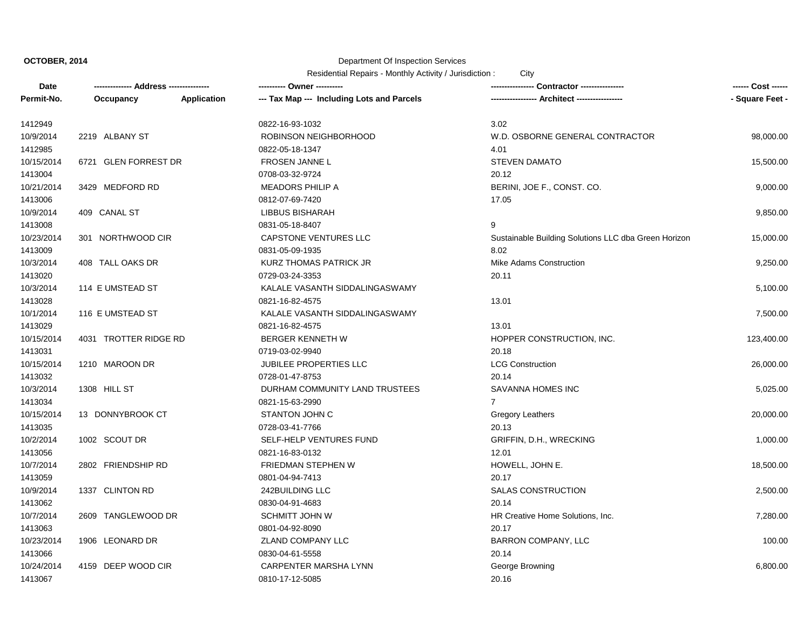# Department Of Inspection Services

| Date       |                       |                    | ---------- Owner ----------                |                                                      |                 |
|------------|-----------------------|--------------------|--------------------------------------------|------------------------------------------------------|-----------------|
| Permit-No. | Occupancy             | <b>Application</b> | --- Tax Map --- Including Lots and Parcels | ---------------- Architect ----------------          | - Square Feet - |
| 1412949    |                       |                    | 0822-16-93-1032                            | 3.02                                                 |                 |
| 10/9/2014  | 2219 ALBANY ST        |                    | ROBINSON NEIGHBORHOOD                      | W.D. OSBORNE GENERAL CONTRACTOR                      | 98,000.00       |
| 1412985    |                       |                    | 0822-05-18-1347                            | 4.01                                                 |                 |
| 10/15/2014 | 6721 GLEN FORREST DR  |                    | <b>FROSEN JANNE L</b>                      | <b>STEVEN DAMATO</b>                                 | 15,500.00       |
| 1413004    |                       |                    | 0708-03-32-9724                            | 20.12                                                |                 |
| 10/21/2014 | 3429 MEDFORD RD       |                    | <b>MEADORS PHILIP A</b>                    | BERINI, JOE F., CONST. CO.                           | 9,000.00        |
| 1413006    |                       |                    | 0812-07-69-7420                            | 17.05                                                |                 |
| 10/9/2014  | 409 CANAL ST          |                    | LIBBUS BISHARAH                            |                                                      | 9,850.00        |
| 1413008    |                       |                    | 0831-05-18-8407                            | 9                                                    |                 |
| 10/23/2014 | 301 NORTHWOOD CIR     |                    | CAPSTONE VENTURES LLC                      | Sustainable Building Solutions LLC dba Green Horizon | 15,000.00       |
| 1413009    |                       |                    | 0831-05-09-1935                            | 8.02                                                 |                 |
| 10/3/2014  | 408 TALL OAKS DR      |                    | KURZ THOMAS PATRICK JR                     | <b>Mike Adams Construction</b>                       | 9,250.00        |
| 1413020    |                       |                    | 0729-03-24-3353                            | 20.11                                                |                 |
| 10/3/2014  | 114 E UMSTEAD ST      |                    | KALALE VASANTH SIDDALINGASWAMY             |                                                      | 5,100.00        |
| 1413028    |                       |                    | 0821-16-82-4575                            | 13.01                                                |                 |
| 10/1/2014  | 116 E UMSTEAD ST      |                    | KALALE VASANTH SIDDALINGASWAMY             |                                                      | 7,500.00        |
| 1413029    |                       |                    | 0821-16-82-4575                            | 13.01                                                |                 |
| 10/15/2014 | 4031 TROTTER RIDGE RD |                    | <b>BERGER KENNETH W</b>                    | HOPPER CONSTRUCTION, INC.                            | 123,400.00      |
| 1413031    |                       |                    | 0719-03-02-9940                            | 20.18                                                |                 |
| 10/15/2014 | 1210 MAROON DR        |                    | <b>JUBILEE PROPERTIES LLC</b>              | <b>LCG Construction</b>                              | 26,000.00       |
| 1413032    |                       |                    | 0728-01-47-8753                            | 20.14                                                |                 |
| 10/3/2014  | 1308 HILL ST          |                    | DURHAM COMMUNITY LAND TRUSTEES             | <b>SAVANNA HOMES INC</b>                             | 5,025.00        |
| 1413034    |                       |                    | 0821-15-63-2990                            | $\overline{7}$                                       |                 |
| 10/15/2014 | 13 DONNYBROOK CT      |                    | STANTON JOHN C                             | Gregory Leathers                                     | 20,000.00       |
| 1413035    |                       |                    | 0728-03-41-7766                            | 20.13                                                |                 |
| 10/2/2014  | 1002 SCOUT DR         |                    | SELF-HELP VENTURES FUND                    | GRIFFIN, D.H., WRECKING                              | 1,000.00        |
| 1413056    |                       |                    | 0821-16-83-0132                            | 12.01                                                |                 |
| 10/7/2014  | 2802 FRIENDSHIP RD    |                    | <b>FRIEDMAN STEPHEN W</b>                  | HOWELL, JOHN E.                                      | 18,500.00       |
| 1413059    |                       |                    | 0801-04-94-7413                            | 20.17                                                |                 |
| 10/9/2014  | 1337 CLINTON RD       |                    | 242BUILDING LLC                            | <b>SALAS CONSTRUCTION</b>                            | 2,500.00        |
| 1413062    |                       |                    | 0830-04-91-4683                            | 20.14                                                |                 |
| 10/7/2014  | 2609 TANGLEWOOD DR    |                    | <b>SCHMITT JOHN W</b>                      | HR Creative Home Solutions, Inc.                     | 7,280.00        |
| 1413063    |                       |                    | 0801-04-92-8090                            | 20.17                                                |                 |
| 10/23/2014 | 1906 LEONARD DR       |                    | ZLAND COMPANY LLC                          | <b>BARRON COMPANY, LLC</b>                           | 100.00          |
| 1413066    |                       |                    | 0830-04-61-5558                            | 20.14                                                |                 |
| 10/24/2014 | 4159 DEEP WOOD CIR    |                    | CARPENTER MARSHA LYNN                      | George Browning                                      | 6,800.00        |
| 1413067    |                       |                    | 0810-17-12-5085                            | 20.16                                                |                 |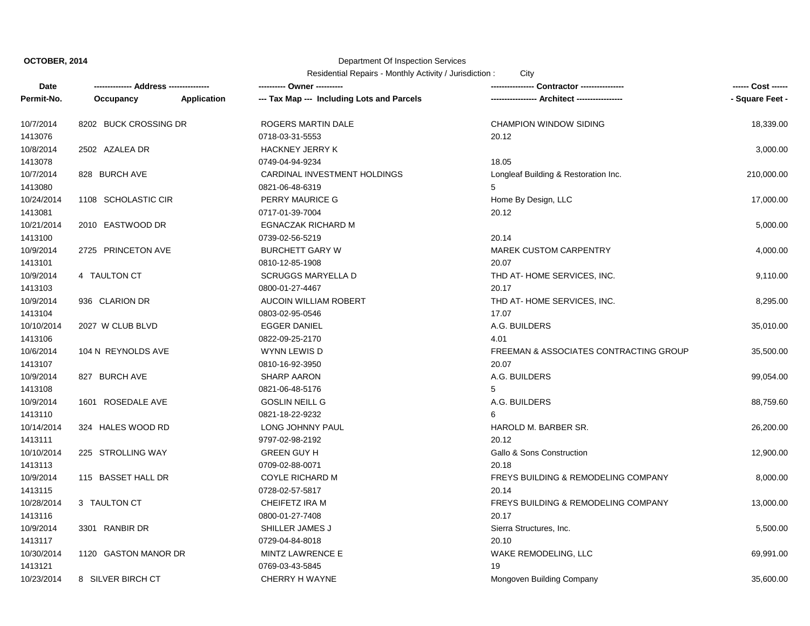# Department Of Inspection Services

| Date       |                       |             | ---------- Owner ----------                |                                                | ------ Cost ------ |
|------------|-----------------------|-------------|--------------------------------------------|------------------------------------------------|--------------------|
| Permit-No. | Occupancy             | Application | --- Tax Map --- Including Lots and Parcels | ---------------- Architect ----------------    | - Square Feet -    |
| 10/7/2014  | 8202 BUCK CROSSING DR |             | ROGERS MARTIN DALE                         | <b>CHAMPION WINDOW SIDING</b>                  | 18,339.00          |
| 1413076    |                       |             | 0718-03-31-5553                            | 20.12                                          |                    |
| 10/8/2014  | 2502 AZALEA DR        |             | <b>HACKNEY JERRY K</b>                     |                                                | 3,000.00           |
| 1413078    |                       |             | 0749-04-94-9234                            | 18.05                                          |                    |
| 10/7/2014  | 828 BURCH AVE         |             | CARDINAL INVESTMENT HOLDINGS               | Longleaf Building & Restoration Inc.           | 210,000.00         |
| 1413080    |                       |             | 0821-06-48-6319                            | 5                                              |                    |
| 10/24/2014 | 1108 SCHOLASTIC CIR   |             | PERRY MAURICE G                            | Home By Design, LLC                            | 17,000.00          |
| 1413081    |                       |             | 0717-01-39-7004                            | 20.12                                          |                    |
| 10/21/2014 | 2010 EASTWOOD DR      |             | <b>EGNACZAK RICHARD M</b>                  |                                                | 5,000.00           |
| 1413100    |                       |             | 0739-02-56-5219                            | 20.14                                          |                    |
| 10/9/2014  | 2725 PRINCETON AVE    |             | <b>BURCHETT GARY W</b>                     | <b>MAREK CUSTOM CARPENTRY</b>                  | 4,000.00           |
| 1413101    |                       |             | 0810-12-85-1908                            | 20.07                                          |                    |
| 10/9/2014  | 4 TAULTON CT          |             | <b>SCRUGGS MARYELLA D</b>                  | THD AT-HOME SERVICES, INC.                     | 9,110.00           |
| 1413103    |                       |             | 0800-01-27-4467                            | 20.17                                          |                    |
| 10/9/2014  | 936 CLARION DR        |             | AUCOIN WILLIAM ROBERT                      | THD AT-HOME SERVICES, INC.                     | 8,295.00           |
| 1413104    |                       |             | 0803-02-95-0546                            | 17.07                                          |                    |
| 10/10/2014 | 2027 W CLUB BLVD      |             | <b>EGGER DANIEL</b>                        | A.G. BUILDERS                                  | 35,010.00          |
| 1413106    |                       |             | 0822-09-25-2170                            | 4.01                                           |                    |
| 10/6/2014  | 104 N REYNOLDS AVE    |             | WYNN LEWIS D                               | FREEMAN & ASSOCIATES CONTRACTING GROUP         | 35,500.00          |
| 1413107    |                       |             | 0810-16-92-3950                            | 20.07                                          |                    |
| 10/9/2014  | 827 BURCH AVE         |             | <b>SHARP AARON</b>                         | A.G. BUILDERS                                  | 99,054.00          |
| 1413108    |                       |             | 0821-06-48-5176                            | 5                                              |                    |
| 10/9/2014  | 1601 ROSEDALE AVE     |             | <b>GOSLIN NEILL G</b>                      | A.G. BUILDERS                                  | 88,759.60          |
| 1413110    |                       |             | 0821-18-22-9232                            | 6                                              |                    |
| 10/14/2014 | 324 HALES WOOD RD     |             | LONG JOHNNY PAUL                           | HAROLD M. BARBER SR.                           | 26,200.00          |
| 1413111    |                       |             | 9797-02-98-2192                            | 20.12                                          |                    |
| 10/10/2014 | 225 STROLLING WAY     |             | <b>GREEN GUY H</b>                         | Gallo & Sons Construction                      | 12,900.00          |
| 1413113    |                       |             | 0709-02-88-0071                            | 20.18                                          |                    |
| 10/9/2014  | 115 BASSET HALL DR    |             | <b>COYLE RICHARD M</b>                     | <b>FREYS BUILDING &amp; REMODELING COMPANY</b> | 8,000.00           |
| 1413115    |                       |             | 0728-02-57-5817                            | 20.14                                          |                    |
| 10/28/2014 | 3 TAULTON CT          |             | CHEIFETZ IRA M                             | FREYS BUILDING & REMODELING COMPANY            | 13,000.00          |
| 1413116    |                       |             | 0800-01-27-7408                            | 20.17                                          |                    |
| 10/9/2014  | 3301 RANBIR DR        |             | SHILLER JAMES J                            | Sierra Structures, Inc.                        | 5,500.00           |
| 1413117    |                       |             | 0729-04-84-8018                            | 20.10                                          |                    |
| 10/30/2014 | 1120 GASTON MANOR DR  |             | MINTZ LAWRENCE E                           | WAKE REMODELING, LLC                           | 69,991.00          |
| 1413121    |                       |             | 0769-03-43-5845                            | 19                                             |                    |
| 10/23/2014 | 8 SILVER BIRCH CT     |             | <b>CHERRY H WAYNE</b>                      | Mongoven Building Company                      | 35,600.00          |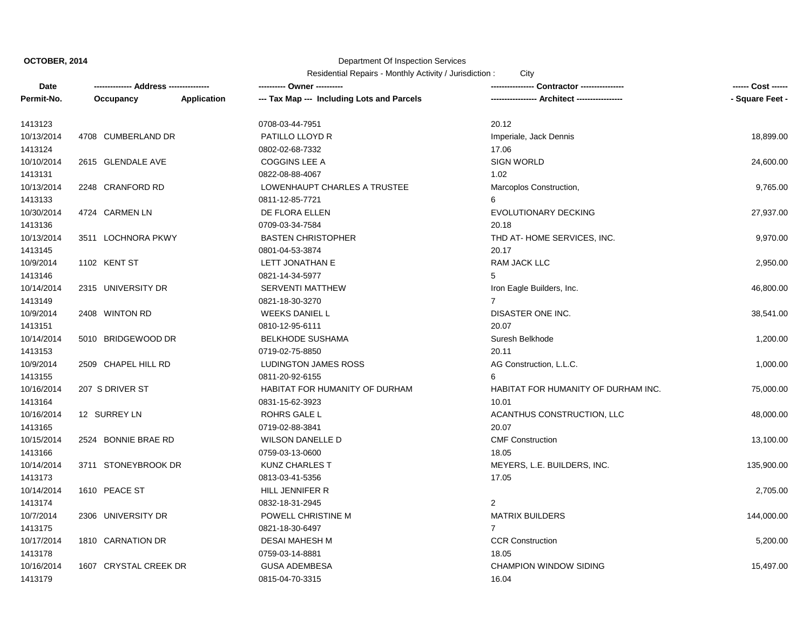# Department Of Inspection Services

| Date       | -------------- Address --------------- |             | ---------- Owner ----------                | <b>Contractor ----------------</b>  | ------ Cost ------ |
|------------|----------------------------------------|-------------|--------------------------------------------|-------------------------------------|--------------------|
| Permit-No. | Occupancy                              | Application | --- Tax Map --- Including Lots and Parcels |                                     | - Square Feet -    |
| 1413123    |                                        |             | 0708-03-44-7951                            | 20.12                               |                    |
| 10/13/2014 | 4708 CUMBERLAND DR                     |             | PATILLO LLOYD R                            | Imperiale, Jack Dennis              | 18,899.00          |
| 1413124    |                                        |             | 0802-02-68-7332                            | 17.06                               |                    |
| 10/10/2014 | 2615 GLENDALE AVE                      |             | <b>COGGINS LEE A</b>                       | <b>SIGN WORLD</b>                   | 24,600.00          |
| 1413131    |                                        |             | 0822-08-88-4067                            | 1.02                                |                    |
| 10/13/2014 | 2248 CRANFORD RD                       |             | LOWENHAUPT CHARLES A TRUSTEE               | Marcoplos Construction,             | 9,765.00           |
| 1413133    |                                        |             | 0811-12-85-7721                            | 6                                   |                    |
| 10/30/2014 | 4724 CARMEN LN                         |             | DE FLORA ELLEN                             | EVOLUTIONARY DECKING                | 27,937.00          |
| 1413136    |                                        |             | 0709-03-34-7584                            | 20.18                               |                    |
| 10/13/2014 | 3511 LOCHNORA PKWY                     |             | <b>BASTEN CHRISTOPHER</b>                  | THD AT-HOME SERVICES, INC.          | 9,970.00           |
| 1413145    |                                        |             | 0801-04-53-3874                            | 20.17                               |                    |
| 10/9/2014  | 1102 KENT ST                           |             | LETT JONATHAN E                            | RAM JACK LLC                        | 2,950.00           |
| 1413146    |                                        |             | 0821-14-34-5977                            | 5                                   |                    |
| 10/14/2014 | 2315 UNIVERSITY DR                     |             | <b>SERVENTI MATTHEW</b>                    | Iron Eagle Builders, Inc.           | 46,800.00          |
| 1413149    |                                        |             | 0821-18-30-3270                            | $\overline{7}$                      |                    |
| 10/9/2014  | 2408 WINTON RD                         |             | <b>WEEKS DANIEL L</b>                      | DISASTER ONE INC.                   | 38,541.00          |
| 1413151    |                                        |             | 0810-12-95-6111                            | 20.07                               |                    |
| 10/14/2014 | 5010 BRIDGEWOOD DR                     |             | <b>BELKHODE SUSHAMA</b>                    | Suresh Belkhode                     | 1,200.00           |
| 1413153    |                                        |             | 0719-02-75-8850                            | 20.11                               |                    |
| 10/9/2014  | 2509 CHAPEL HILL RD                    |             | LUDINGTON JAMES ROSS                       | AG Construction, L.L.C.             | 1,000.00           |
| 1413155    |                                        |             | 0811-20-92-6155                            | 6                                   |                    |
| 10/16/2014 | 207 S DRIVER ST                        |             | HABITAT FOR HUMANITY OF DURHAM             | HABITAT FOR HUMANITY OF DURHAM INC. | 75,000.00          |
| 1413164    |                                        |             | 0831-15-62-3923                            | 10.01                               |                    |
| 10/16/2014 | 12 SURREY LN                           |             | ROHRS GALE L                               | ACANTHUS CONSTRUCTION, LLC          | 48,000.00          |
| 1413165    |                                        |             | 0719-02-88-3841                            | 20.07                               |                    |
| 10/15/2014 | 2524 BONNIE BRAE RD                    |             | <b>WILSON DANELLE D</b>                    | <b>CMF Construction</b>             | 13,100.00          |
| 1413166    |                                        |             | 0759-03-13-0600                            | 18.05                               |                    |
| 10/14/2014 | 3711 STONEYBROOK DR                    |             | <b>KUNZ CHARLES T</b>                      | MEYERS, L.E. BUILDERS, INC.         | 135,900.00         |
| 1413173    |                                        |             | 0813-03-41-5356                            | 17.05                               |                    |
| 10/14/2014 | 1610 PEACE ST                          |             | HILL JENNIFER R                            |                                     | 2,705.00           |
| 1413174    |                                        |             | 0832-18-31-2945                            | $\overline{2}$                      |                    |
| 10/7/2014  | 2306 UNIVERSITY DR                     |             | POWELL CHRISTINE M                         | <b>MATRIX BUILDERS</b>              | 144,000.00         |
| 1413175    |                                        |             | 0821-18-30-6497                            | $\overline{7}$                      |                    |
| 10/17/2014 | 1810 CARNATION DR                      |             | <b>DESAI MAHESH M</b>                      | <b>CCR Construction</b>             | 5,200.00           |
| 1413178    |                                        |             | 0759-03-14-8881                            | 18.05                               |                    |
| 10/16/2014 | 1607 CRYSTAL CREEK DR                  |             | <b>GUSA ADEMBESA</b>                       | <b>CHAMPION WINDOW SIDING</b>       | 15,497.00          |
| 1413179    |                                        |             | 0815-04-70-3315                            | 16.04                               |                    |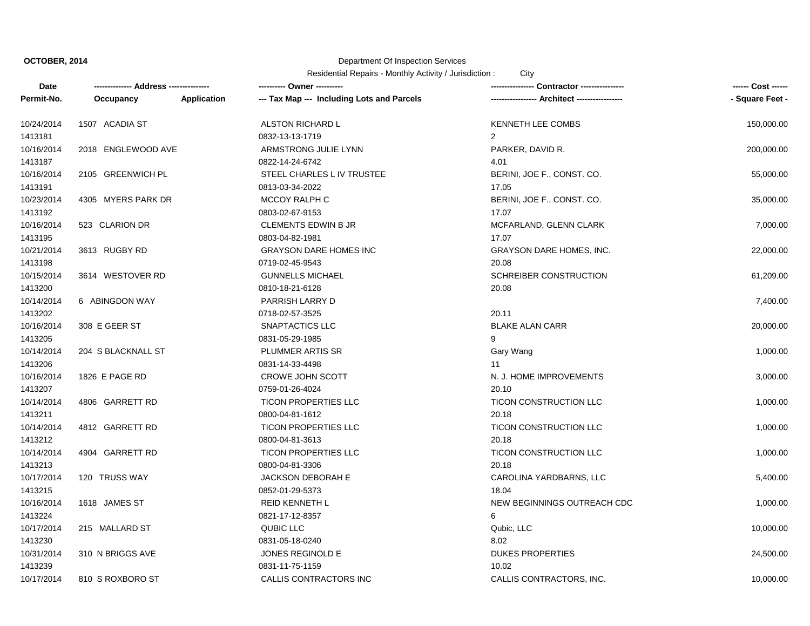# Department Of Inspection Services

| Date       |                    |             | ---------- Owner ----------                |                                             | ------ Cost ------ |
|------------|--------------------|-------------|--------------------------------------------|---------------------------------------------|--------------------|
| Permit-No. | Occupancy          | Application | --- Tax Map --- Including Lots and Parcels | ---------------- Architect ---------------- | - Square Feet -    |
| 10/24/2014 | 1507 ACADIA ST     |             | ALSTON RICHARD L                           | KENNETH LEE COMBS                           | 150,000.00         |
| 1413181    |                    |             | 0832-13-13-1719                            | $\overline{2}$                              |                    |
| 10/16/2014 | 2018 ENGLEWOOD AVE |             | ARMSTRONG JULIE LYNN                       | PARKER, DAVID R.                            | 200,000.00         |
| 1413187    |                    |             | 0822-14-24-6742                            | 4.01                                        |                    |
| 10/16/2014 | 2105 GREENWICH PL  |             | STEEL CHARLES L IV TRUSTEE                 | BERINI, JOE F., CONST. CO.                  | 55,000.00          |
| 1413191    |                    |             | 0813-03-34-2022                            | 17.05                                       |                    |
| 10/23/2014 | 4305 MYERS PARK DR |             | MCCOY RALPH C                              | BERINI, JOE F., CONST. CO.                  | 35,000.00          |
| 1413192    |                    |             | 0803-02-67-9153                            | 17.07                                       |                    |
| 10/16/2014 | 523 CLARION DR     |             | <b>CLEMENTS EDWIN B JR</b>                 | MCFARLAND, GLENN CLARK                      | 7,000.00           |
| 1413195    |                    |             | 0803-04-82-1981                            | 17.07                                       |                    |
| 10/21/2014 | 3613 RUGBY RD      |             | <b>GRAYSON DARE HOMES INC</b>              | <b>GRAYSON DARE HOMES, INC.</b>             | 22,000.00          |
| 1413198    |                    |             | 0719-02-45-9543                            | 20.08                                       |                    |
| 10/15/2014 | 3614 WESTOVER RD   |             | <b>GUNNELLS MICHAEL</b>                    | SCHREIBER CONSTRUCTION                      | 61,209.00          |
| 1413200    |                    |             | 0810-18-21-6128                            | 20.08                                       |                    |
| 10/14/2014 | 6 ABINGDON WAY     |             | PARRISH LARRY D                            |                                             | 7,400.00           |
| 1413202    |                    |             | 0718-02-57-3525                            | 20.11                                       |                    |
| 10/16/2014 | 308 E GEER ST      |             | SNAPTACTICS LLC                            | <b>BLAKE ALAN CARR</b>                      | 20,000.00          |
| 1413205    |                    |             | 0831-05-29-1985                            | 9                                           |                    |
| 10/14/2014 | 204 S BLACKNALL ST |             | PLUMMER ARTIS SR                           | Gary Wang                                   | 1,000.00           |
| 1413206    |                    |             | 0831-14-33-4498                            | 11                                          |                    |
| 10/16/2014 | 1826 E PAGE RD     |             | CROWE JOHN SCOTT                           | N. J. HOME IMPROVEMENTS                     | 3,000.00           |
| 1413207    |                    |             | 0759-01-26-4024                            | 20.10                                       |                    |
| 10/14/2014 | 4806 GARRETT RD    |             | <b>TICON PROPERTIES LLC</b>                | <b>TICON CONSTRUCTION LLC</b>               | 1,000.00           |
| 1413211    |                    |             | 0800-04-81-1612                            | 20.18                                       |                    |
| 10/14/2014 | 4812 GARRETT RD    |             | <b>TICON PROPERTIES LLC</b>                | <b>TICON CONSTRUCTION LLC</b>               | 1,000.00           |
| 1413212    |                    |             | 0800-04-81-3613                            | 20.18                                       |                    |
| 10/14/2014 | 4904 GARRETT RD    |             | <b>TICON PROPERTIES LLC</b>                | <b>TICON CONSTRUCTION LLC</b>               | 1,000.00           |
| 1413213    |                    |             | 0800-04-81-3306                            | 20.18                                       |                    |
| 10/17/2014 | 120 TRUSS WAY      |             | <b>JACKSON DEBORAH E</b>                   | CAROLINA YARDBARNS, LLC                     | 5,400.00           |
| 1413215    |                    |             | 0852-01-29-5373                            | 18.04                                       |                    |
| 10/16/2014 | 1618 JAMES ST      |             | <b>REID KENNETH L</b>                      | NEW BEGINNINGS OUTREACH CDC                 | 1,000.00           |
| 1413224    |                    |             | 0821-17-12-8357                            | 6                                           |                    |
| 10/17/2014 | 215 MALLARD ST     |             | <b>QUBIC LLC</b>                           | Qubic, LLC                                  | 10,000.00          |
| 1413230    |                    |             | 0831-05-18-0240                            | 8.02                                        |                    |
| 10/31/2014 | 310 N BRIGGS AVE   |             | JONES REGINOLD E                           | <b>DUKES PROPERTIES</b>                     | 24,500.00          |
| 1413239    |                    |             | 0831-11-75-1159                            | 10.02                                       |                    |
| 10/17/2014 | 810 S ROXBORO ST   |             | CALLIS CONTRACTORS INC                     | CALLIS CONTRACTORS, INC.                    | 10,000.00          |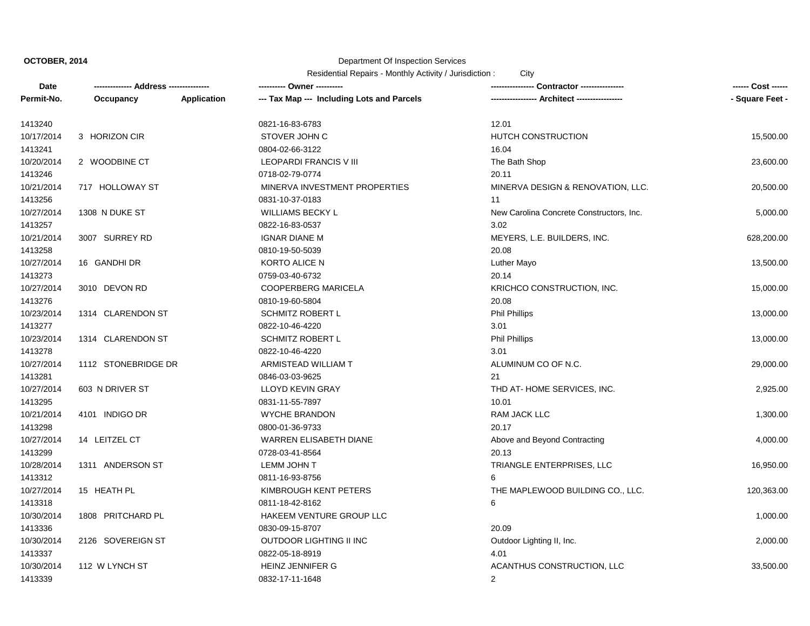# Department Of Inspection Services

| Date       |                     |             | --------- Owner ----------                 | Contractor ----------------              |                 |
|------------|---------------------|-------------|--------------------------------------------|------------------------------------------|-----------------|
| Permit-No. | Occupancy           | Application | --- Tax Map --- Including Lots and Parcels | - Architect ----------------             | - Square Feet - |
| 1413240    |                     |             | 0821-16-83-6783                            | 12.01                                    |                 |
| 10/17/2014 | 3 HORIZON CIR       |             | STOVER JOHN C                              | <b>HUTCH CONSTRUCTION</b>                | 15,500.00       |
| 1413241    |                     |             | 0804-02-66-3122                            | 16.04                                    |                 |
| 10/20/2014 | 2 WOODBINE CT       |             | <b>LEOPARDI FRANCIS VIII</b>               | The Bath Shop                            | 23,600.00       |
| 1413246    |                     |             | 0718-02-79-0774                            | 20.11                                    |                 |
| 10/21/2014 | 717 HOLLOWAY ST     |             | MINERVA INVESTMENT PROPERTIES              | MINERVA DESIGN & RENOVATION, LLC.        | 20,500.00       |
| 1413256    |                     |             | 0831-10-37-0183                            | 11                                       |                 |
| 10/27/2014 | 1308 N DUKE ST      |             | <b>WILLIAMS BECKY L</b>                    | New Carolina Concrete Constructors, Inc. | 5,000.00        |
| 1413257    |                     |             | 0822-16-83-0537                            | 3.02                                     |                 |
| 10/21/2014 | 3007 SURREY RD      |             | <b>IGNAR DIANE M</b>                       | MEYERS, L.E. BUILDERS, INC.              | 628,200.00      |
| 1413258    |                     |             | 0810-19-50-5039                            | 20.08                                    |                 |
| 10/27/2014 | 16 GANDHI DR        |             | KORTO ALICE N                              | Luther Mayo                              | 13,500.00       |
| 1413273    |                     |             | 0759-03-40-6732                            | 20.14                                    |                 |
| 10/27/2014 | 3010 DEVON RD       |             | <b>COOPERBERG MARICELA</b>                 | KRICHCO CONSTRUCTION, INC.               | 15,000.00       |
| 1413276    |                     |             | 0810-19-60-5804                            | 20.08                                    |                 |
| 10/23/2014 | 1314 CLARENDON ST   |             | <b>SCHMITZ ROBERT L</b>                    | <b>Phil Phillips</b>                     | 13,000.00       |
| 1413277    |                     |             | 0822-10-46-4220                            | 3.01                                     |                 |
| 10/23/2014 | 1314 CLARENDON ST   |             | <b>SCHMITZ ROBERT L</b>                    | <b>Phil Phillips</b>                     | 13,000.00       |
| 1413278    |                     |             | 0822-10-46-4220                            | 3.01                                     |                 |
| 10/27/2014 | 1112 STONEBRIDGE DR |             | ARMISTEAD WILLIAM T                        | ALUMINUM CO OF N.C.                      | 29,000.00       |
| 1413281    |                     |             | 0846-03-03-9625                            | 21                                       |                 |
| 10/27/2014 | 603 N DRIVER ST     |             | <b>LLOYD KEVIN GRAY</b>                    | THD AT-HOME SERVICES, INC.               | 2,925.00        |
| 1413295    |                     |             | 0831-11-55-7897                            | 10.01                                    |                 |
| 10/21/2014 | 4101 INDIGO DR      |             | <b>WYCHE BRANDON</b>                       | <b>RAM JACK LLC</b>                      | 1,300.00        |
| 1413298    |                     |             | 0800-01-36-9733                            | 20.17                                    |                 |
| 10/27/2014 | 14 LEITZEL CT       |             | <b>WARREN ELISABETH DIANE</b>              | Above and Beyond Contracting             | 4,000.00        |
| 1413299    |                     |             | 0728-03-41-8564                            | 20.13                                    |                 |
| 10/28/2014 | 1311 ANDERSON ST    |             | LEMM JOHN T                                | TRIANGLE ENTERPRISES, LLC                | 16,950.00       |
| 1413312    |                     |             | 0811-16-93-8756                            |                                          |                 |
| 10/27/2014 | 15 HEATH PL         |             | KIMBROUGH KENT PETERS                      | THE MAPLEWOOD BUILDING CO., LLC.         | 120,363.00      |
| 1413318    |                     |             | 0811-18-42-8162                            | 6                                        |                 |
| 10/30/2014 | 1808 PRITCHARD PL   |             | HAKEEM VENTURE GROUP LLC                   |                                          | 1,000.00        |
| 1413336    |                     |             | 0830-09-15-8707                            | 20.09                                    |                 |
| 10/30/2014 | 2126 SOVEREIGN ST   |             | OUTDOOR LIGHTING II INC                    | Outdoor Lighting II, Inc.                | 2,000.00        |
| 1413337    |                     |             | 0822-05-18-8919                            | 4.01                                     |                 |
| 10/30/2014 | 112 W LYNCH ST      |             | HEINZ JENNIFER G                           | ACANTHUS CONSTRUCTION, LLC               | 33,500.00       |
| 1413339    |                     |             | 0832-17-11-1648                            | $\overline{2}$                           |                 |